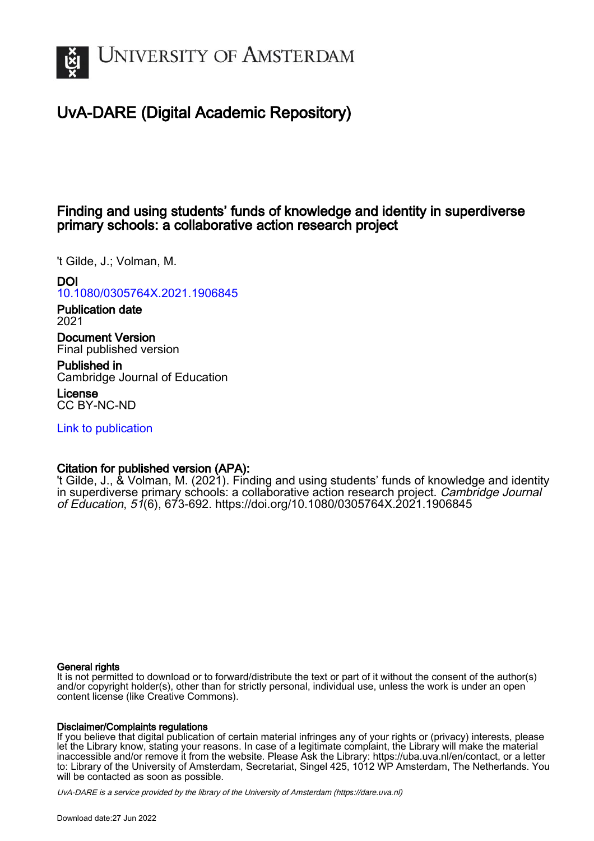

# UvA-DARE (Digital Academic Repository)

# Finding and using students' funds of knowledge and identity in superdiverse primary schools: a collaborative action research project

't Gilde, J.; Volman, M.

## DOI

[10.1080/0305764X.2021.1906845](https://doi.org/10.1080/0305764X.2021.1906845)

Publication date 2021

Document Version Final published version

Published in Cambridge Journal of Education

License CC BY-NC-ND

[Link to publication](https://dare.uva.nl/personal/pure/en/publications/finding-and-using-students-funds-of-knowledge-and-identity-in-superdiverse-primary-schools-a-collaborative-action-research-project(b710de10-357c-4dde-8a10-32ff7d19de19).html)

## Citation for published version (APA):

't Gilde, J., & Volman, M. (2021). Finding and using students' funds of knowledge and identity in superdiverse primary schools: a collaborative action research project. Cambridge Journal of Education, 51(6), 673-692. <https://doi.org/10.1080/0305764X.2021.1906845>

## General rights

It is not permitted to download or to forward/distribute the text or part of it without the consent of the author(s) and/or copyright holder(s), other than for strictly personal, individual use, unless the work is under an open content license (like Creative Commons).

## Disclaimer/Complaints regulations

If you believe that digital publication of certain material infringes any of your rights or (privacy) interests, please let the Library know, stating your reasons. In case of a legitimate complaint, the Library will make the material inaccessible and/or remove it from the website. Please Ask the Library: https://uba.uva.nl/en/contact, or a letter to: Library of the University of Amsterdam, Secretariat, Singel 425, 1012 WP Amsterdam, The Netherlands. You will be contacted as soon as possible.

UvA-DARE is a service provided by the library of the University of Amsterdam (http*s*://dare.uva.nl)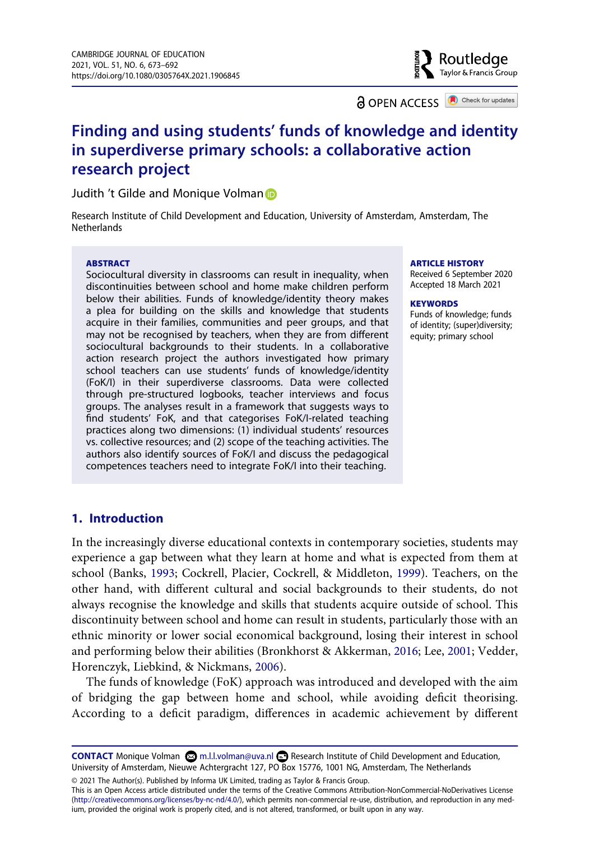**a** OPEN ACCESS **a** Check for updates

Routledae Taylor & Francis Group

# **Finding and using students' funds of knowledge and identity in superdiverse primary schools: a collaborative action research project**

Judith 't Gilde and Monique Volman

Research Institute of Child Development and Education, University of Amsterdam, Amsterdam, The **Netherlands** 

#### **ABSTRACT**

Sociocultural diversity in classrooms can result in inequality, when discontinuities between school and home make children perform below their abilities. Funds of knowledge/identity theory makes a plea for building on the skills and knowledge that students acquire in their families, communities and peer groups, and that may not be recognised by teachers, when they are from different sociocultural backgrounds to their students. In a collaborative action research project the authors investigated how primary school teachers can use students' funds of knowledge/identity (FoK/I) in their superdiverse classrooms. Data were collected through pre-structured logbooks, teacher interviews and focus groups. The analyses result in a framework that suggests ways to find students' FoK, and that categorises FoK/I-related teaching practices along two dimensions: (1) individual students' resources vs. collective resources; and (2) scope of the teaching activities. The authors also identify sources of FoK/I and discuss the pedagogical competences teachers need to integrate FoK/I into their teaching.

#### **ARTICLE HISTORY**

Received 6 September 2020 Accepted 18 March 2021

#### **KEYWORDS**

Funds of knowledge; funds of identity; (super)diversity; equity; primary school

## **1. Introduction**

In the increasingly diverse educational contexts in contemporary societies, students may experience a gap between what they learn at home and what is expected from them at school (Banks, 1993; Cockrell, Placier, Cockrell, & Middleton, 1999). Teachers, on the other hand, with different cultural and social backgrounds to their students, do not always recognise the knowledge and skills that students acquire outside of school. This discontinuity between school and home can result in students, particularly those with an ethnic minority or lower social economical background, losing their interest in school and performing below their abilities (Bronkhorst & Akkerman, 2016; Lee, 2001; Vedder, Horenczyk, Liebkind, & Nickmans, 2006).

The funds of knowledge (FoK) approach was introduced and developed with the aim of bridging the gap between home and school, while avoiding deficit theorising. According to a deficit paradigm, differences in academic achievement by different

© 2021 The Author(s). Published by Informa UK Limited, trading as Taylor & Francis Group.

This is an Open Access article distributed under the terms of the Creative Commons Attribution-NonCommercial-NoDerivatives License (http://creativecommons.org/licenses/by-nc-nd/4.0/), which permits non-commercial re-use, distribution, and reproduction in any medium, provided the original work is properly cited, and is not altered, transformed, or built upon in any way.

**CONTACT** Monique Volman  $\otimes$  m.l.l.volman@uva.nl **Research Institute of Child Development and Education,** University of Amsterdam, Nieuwe Achtergracht 127, PO Box 15776, 1001 NG, Amsterdam, The Netherlands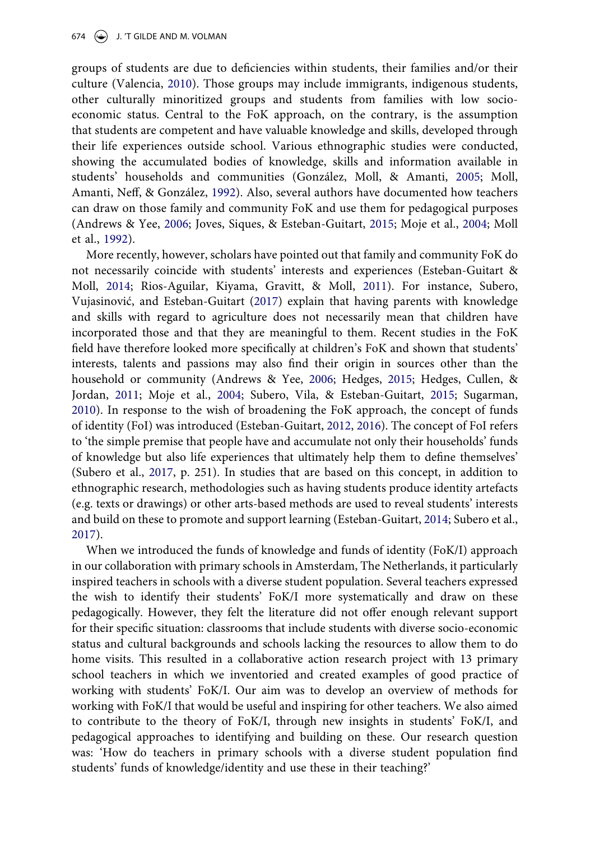groups of students are due to deficiencies within students, their families and/or their culture (Valencia, 2010). Those groups may include immigrants, indigenous students, other culturally minoritized groups and students from families with low socioeconomic status. Central to the FoK approach, on the contrary, is the assumption that students are competent and have valuable knowledge and skills, developed through their life experiences outside school. Various ethnographic studies were conducted, showing the accumulated bodies of knowledge, skills and information available in students' households and communities (González, Moll, & Amanti, 2005; Moll, Amanti, Neff, & González, 1992). Also, several authors have documented how teachers can draw on those family and community FoK and use them for pedagogical purposes (Andrews & Yee, 2006; Joves, Siques, & Esteban-Guitart, 2015; Moje et al., 2004; Moll et al., 1992).

More recently, however, scholars have pointed out that family and community FoK do not necessarily coincide with students' interests and experiences (Esteban-Guitart & Moll, 2014; Rios-Aguilar, Kiyama, Gravitt, & Moll, 2011). For instance, Subero, Vujasinović, and Esteban-Guitart (2017) explain that having parents with knowledge and skills with regard to agriculture does not necessarily mean that children have incorporated those and that they are meaningful to them. Recent studies in the FoK field have therefore looked more specifically at children's FoK and shown that students' interests, talents and passions may also find their origin in sources other than the household or community (Andrews & Yee, 2006; Hedges, 2015; Hedges, Cullen, & Jordan, 2011; Moje et al., 2004; Subero, Vila, & Esteban-Guitart, 2015; Sugarman, 2010). In response to the wish of broadening the FoK approach, the concept of funds of identity (FoI) was introduced (Esteban-Guitart, 2012, 2016). The concept of FoI refers to 'the simple premise that people have and accumulate not only their households' funds of knowledge but also life experiences that ultimately help them to define themselves' (Subero et al., 2017, p. 251). In studies that are based on this concept, in addition to ethnographic research, methodologies such as having students produce identity artefacts (e.g. texts or drawings) or other arts-based methods are used to reveal students' interests and build on these to promote and support learning (Esteban-Guitart, 2014; Subero et al., 2017).

When we introduced the funds of knowledge and funds of identity (FoK/I) approach in our collaboration with primary schools in Amsterdam, The Netherlands, it particularly inspired teachers in schools with a diverse student population. Several teachers expressed the wish to identify their students' FoK/I more systematically and draw on these pedagogically. However, they felt the literature did not offer enough relevant support for their specific situation: classrooms that include students with diverse socio-economic status and cultural backgrounds and schools lacking the resources to allow them to do home visits. This resulted in a collaborative action research project with 13 primary school teachers in which we inventoried and created examples of good practice of working with students' FoK/I. Our aim was to develop an overview of methods for working with FoK/I that would be useful and inspiring for other teachers. We also aimed to contribute to the theory of FoK/I, through new insights in students' FoK/I, and pedagogical approaches to identifying and building on these. Our research question was: 'How do teachers in primary schools with a diverse student population find students' funds of knowledge/identity and use these in their teaching?'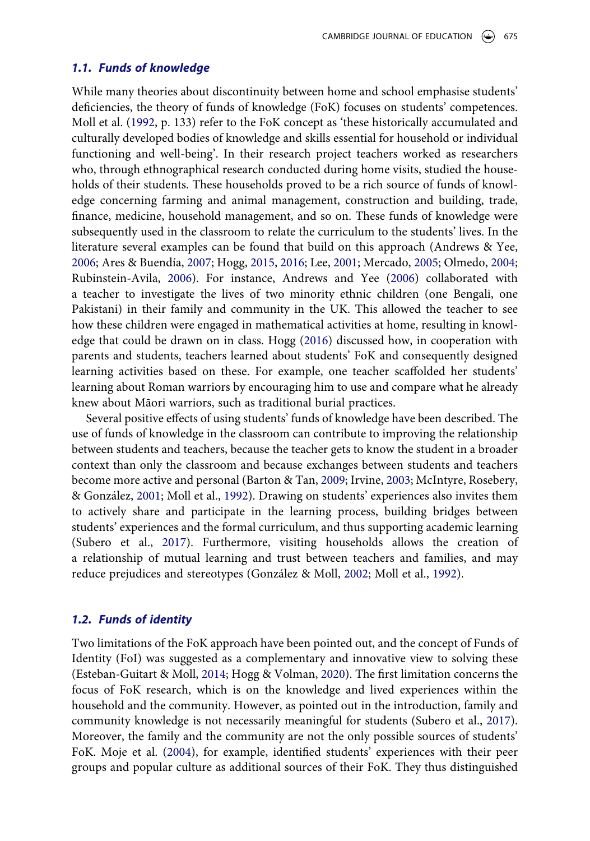#### *1.1. Funds of knowledge*

While many theories about discontinuity between home and school emphasise students' deficiencies, the theory of funds of knowledge (FoK) focuses on students' competences. Moll et al. (1992, p. 133) refer to the FoK concept as 'these historically accumulated and culturally developed bodies of knowledge and skills essential for household or individual functioning and well-being'. In their research project teachers worked as researchers who, through ethnographical research conducted during home visits, studied the households of their students. These households proved to be a rich source of funds of knowledge concerning farming and animal management, construction and building, trade, finance, medicine, household management, and so on. These funds of knowledge were subsequently used in the classroom to relate the curriculum to the students' lives. In the literature several examples can be found that build on this approach (Andrews & Yee, 2006; Ares & Buendía, 2007; Hogg, 2015, 2016; Lee, 2001; Mercado, 2005; Olmedo, 2004; Rubinstein-Avila, 2006). For instance, Andrews and Yee (2006) collaborated with a teacher to investigate the lives of two minority ethnic children (one Bengali, one Pakistani) in their family and community in the UK. This allowed the teacher to see how these children were engaged in mathematical activities at home, resulting in knowledge that could be drawn on in class. Hogg (2016) discussed how, in cooperation with parents and students, teachers learned about students' FoK and consequently designed learning activities based on these. For example, one teacher scaffolded her students' learning about Roman warriors by encouraging him to use and compare what he already knew about Māori warriors, such as traditional burial practices.

Several positive effects of using students' funds of knowledge have been described. The use of funds of knowledge in the classroom can contribute to improving the relationship between students and teachers, because the teacher gets to know the student in a broader context than only the classroom and because exchanges between students and teachers become more active and personal (Barton & Tan, 2009; Irvine, 2003; McIntyre, Rosebery, & González, 2001; Moll et al., 1992). Drawing on students' experiences also invites them to actively share and participate in the learning process, building bridges between students' experiences and the formal curriculum, and thus supporting academic learning (Subero et al., 2017). Furthermore, visiting households allows the creation of a relationship of mutual learning and trust between teachers and families, and may reduce prejudices and stereotypes (González & Moll, 2002; Moll et al., 1992).

## *1.2. Funds of identity*

Two limitations of the FoK approach have been pointed out, and the concept of Funds of Identity (FoI) was suggested as a complementary and innovative view to solving these (Esteban-Guitart & Moll, 2014; Hogg & Volman, 2020). The first limitation concerns the focus of FoK research, which is on the knowledge and lived experiences within the household and the community. However, as pointed out in the introduction, family and community knowledge is not necessarily meaningful for students (Subero et al., 2017). Moreover, the family and the community are not the only possible sources of students' FoK. Moje et al. (2004), for example, identified students' experiences with their peer groups and popular culture as additional sources of their FoK. They thus distinguished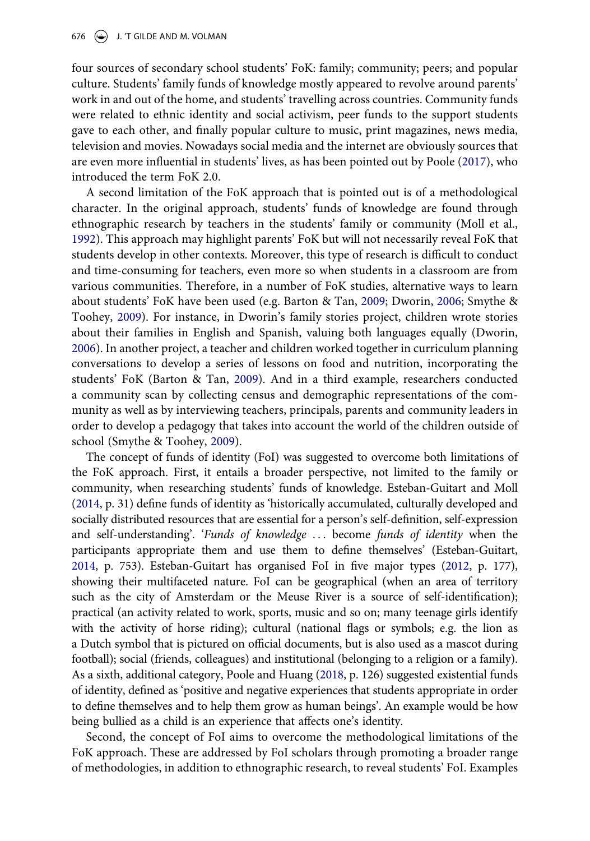four sources of secondary school students' FoK: family; community; peers; and popular culture. Students' family funds of knowledge mostly appeared to revolve around parents' work in and out of the home, and students' travelling across countries. Community funds were related to ethnic identity and social activism, peer funds to the support students gave to each other, and finally popular culture to music, print magazines, news media, television and movies. Nowadays social media and the internet are obviously sources that are even more influential in students' lives, as has been pointed out by Poole (2017), who introduced the term FoK 2.0.

A second limitation of the FoK approach that is pointed out is of a methodological character. In the original approach, students' funds of knowledge are found through ethnographic research by teachers in the students' family or community (Moll et al., 1992). This approach may highlight parents' FoK but will not necessarily reveal FoK that students develop in other contexts. Moreover, this type of research is difficult to conduct and time-consuming for teachers, even more so when students in a classroom are from various communities. Therefore, in a number of FoK studies, alternative ways to learn about students' FoK have been used (e.g. Barton & Tan, 2009; Dworin, 2006; Smythe & Toohey, 2009). For instance, in Dworin's family stories project, children wrote stories about their families in English and Spanish, valuing both languages equally (Dworin, 2006). In another project, a teacher and children worked together in curriculum planning conversations to develop a series of lessons on food and nutrition, incorporating the students' FoK (Barton & Tan, 2009). And in a third example, researchers conducted a community scan by collecting census and demographic representations of the community as well as by interviewing teachers, principals, parents and community leaders in order to develop a pedagogy that takes into account the world of the children outside of school (Smythe & Toohey, 2009).

The concept of funds of identity (FoI) was suggested to overcome both limitations of the FoK approach. First, it entails a broader perspective, not limited to the family or community, when researching students' funds of knowledge. Esteban-Guitart and Moll (2014, p. 31) define funds of identity as 'historically accumulated, culturally developed and socially distributed resources that are essential for a person's self-definition, self-expression and self-understanding'. '*Funds of knowledge* . . . become *funds of identity* when the participants appropriate them and use them to define themselves' (Esteban-Guitart, 2014, p. 753). Esteban-Guitart has organised FoI in five major types (2012, p. 177), showing their multifaceted nature. FoI can be geographical (when an area of territory such as the city of Amsterdam or the Meuse River is a source of self-identification); practical (an activity related to work, sports, music and so on; many teenage girls identify with the activity of horse riding); cultural (national flags or symbols; e.g. the lion as a Dutch symbol that is pictured on official documents, but is also used as a mascot during football); social (friends, colleagues) and institutional (belonging to a religion or a family). As a sixth, additional category, Poole and Huang (2018, p. 126) suggested existential funds of identity, defined as 'positive and negative experiences that students appropriate in order to define themselves and to help them grow as human beings'. An example would be how being bullied as a child is an experience that affects one's identity.

Second, the concept of FoI aims to overcome the methodological limitations of the FoK approach. These are addressed by FoI scholars through promoting a broader range of methodologies, in addition to ethnographic research, to reveal students' FoI. Examples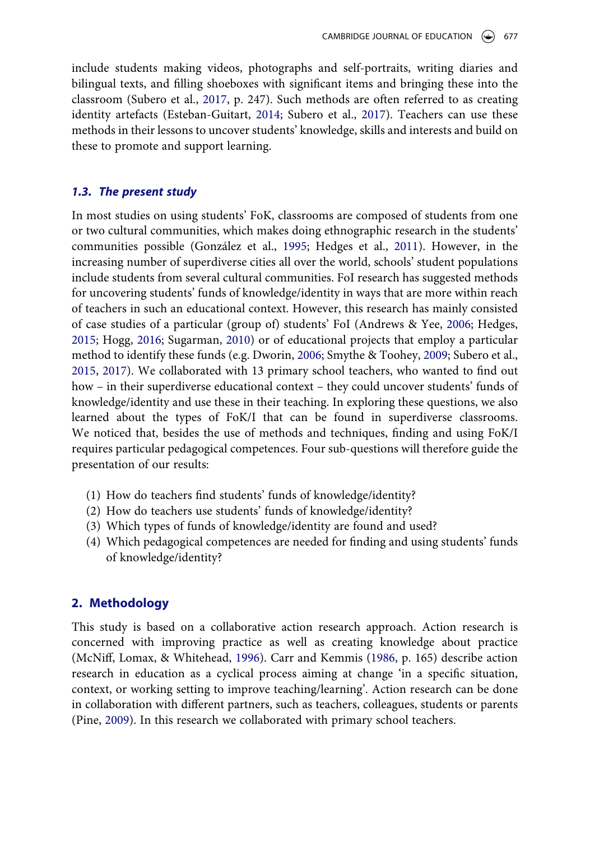include students making videos, photographs and self-portraits, writing diaries and bilingual texts, and filling shoeboxes with significant items and bringing these into the classroom (Subero et al., 2017, p. 247). Such methods are often referred to as creating identity artefacts (Esteban-Guitart, 2014; Subero et al., 2017). Teachers can use these methods in their lessons to uncover students' knowledge, skills and interests and build on these to promote and support learning.

#### *1.3. The present study*

In most studies on using students' FoK, classrooms are composed of students from one or two cultural communities, which makes doing ethnographic research in the students' communities possible (González et al., 1995; Hedges et al., 2011). However, in the increasing number of superdiverse cities all over the world, schools' student populations include students from several cultural communities. FoI research has suggested methods for uncovering students' funds of knowledge/identity in ways that are more within reach of teachers in such an educational context. However, this research has mainly consisted of case studies of a particular (group of) students' FoI (Andrews & Yee, 2006; Hedges, 2015; Hogg, 2016; Sugarman, 2010) or of educational projects that employ a particular method to identify these funds (e.g. Dworin, 2006; Smythe & Toohey, 2009; Subero et al., 2015, 2017). We collaborated with 13 primary school teachers, who wanted to find out how – in their superdiverse educational context – they could uncover students' funds of knowledge/identity and use these in their teaching. In exploring these questions, we also learned about the types of FoK/I that can be found in superdiverse classrooms. We noticed that, besides the use of methods and techniques, finding and using FoK/I requires particular pedagogical competences. Four sub-questions will therefore guide the presentation of our results:

- (1) How do teachers find students' funds of knowledge/identity?
- (2) How do teachers use students' funds of knowledge/identity?
- (3) Which types of funds of knowledge/identity are found and used?
- (4) Which pedagogical competences are needed for finding and using students' funds of knowledge/identity?

### **2. Methodology**

This study is based on a collaborative action research approach. Action research is concerned with improving practice as well as creating knowledge about practice (McNiff, Lomax, & Whitehead, 1996). Carr and Kemmis (1986, p. 165) describe action research in education as a cyclical process aiming at change 'in a specific situation, context, or working setting to improve teaching/learning'. Action research can be done in collaboration with different partners, such as teachers, colleagues, students or parents (Pine, 2009). In this research we collaborated with primary school teachers.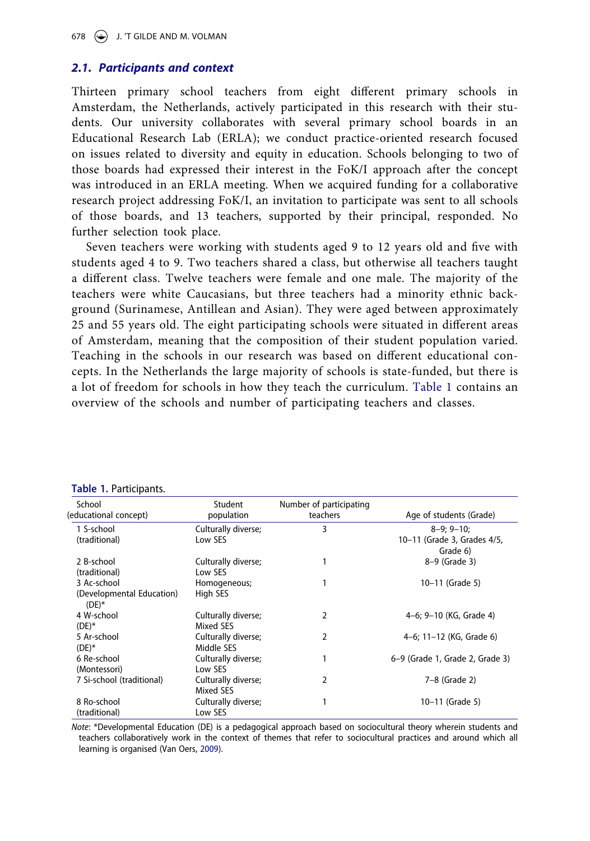## *2.1. Participants and context*

Thirteen primary school teachers from eight different primary schools in Amsterdam, the Netherlands, actively participated in this research with their students. Our university collaborates with several primary school boards in an Educational Research Lab (ERLA); we conduct practice-oriented research focused on issues related to diversity and equity in education. Schools belonging to two of those boards had expressed their interest in the FoK/I approach after the concept was introduced in an ERLA meeting. When we acquired funding for a collaborative research project addressing FoK/I, an invitation to participate was sent to all schools of those boards, and 13 teachers, supported by their principal, responded. No further selection took place.

Seven teachers were working with students aged 9 to 12 years old and five with students aged 4 to 9. Two teachers shared a class, but otherwise all teachers taught a different class. Twelve teachers were female and one male. The majority of the teachers were white Caucasians, but three teachers had a minority ethnic background (Surinamese, Antillean and Asian). They were aged between approximately 25 and 55 years old. The eight participating schools were situated in different areas of Amsterdam, meaning that the composition of their student population varied. Teaching in the schools in our research was based on different educational concepts. In the Netherlands the large majority of schools is state-funded, but there is a lot of freedom for schools in how they teach the curriculum. Table 1 contains an overview of the schools and number of participating teachers and classes.

| Table 1. Tarticipality.                              |                                   |                                     |                                         |
|------------------------------------------------------|-----------------------------------|-------------------------------------|-----------------------------------------|
| School<br>(educational concept)                      | Student<br>population             | Number of participating<br>teachers | Age of students (Grade)                 |
| 1 S-school                                           | Culturally diverse;               | 3                                   | $8-9:9-10:$                             |
| (traditional)                                        | Low SES                           |                                     | 10-11 (Grade 3, Grades 4/5,<br>Grade 6) |
| 2 B-school<br>(traditional)                          | Culturally diverse;<br>Low SES    |                                     | 8-9 (Grade 3)                           |
| 3 Ac-school<br>(Developmental Education)<br>$(DE)^*$ | Homogeneous;<br>High SES          |                                     | 10-11 (Grade 5)                         |
| 4 W-school<br>$(DE)^*$                               | Culturally diverse;<br>Mixed SES  | 2                                   | 4–6; 9–10 (KG, Grade 4)                 |
| 5 Ar-school<br>$(DE)^*$                              | Culturally diverse;<br>Middle SES | 2                                   | 4-6; 11-12 (KG, Grade 6)                |
| 6 Re-school<br>(Montessori)                          | Culturally diverse;<br>Low SES    |                                     | 6-9 (Grade 1, Grade 2, Grade 3)         |
| 7 Si-school (traditional)                            | Culturally diverse;<br>Mixed SES  | 2                                   | 7-8 (Grade 2)                           |
| 8 Ro-school<br>(traditional)                         | Culturally diverse;<br>Low SES    |                                     | 10-11 (Grade 5)                         |

|  |  | Table 1. Participants. |  |
|--|--|------------------------|--|
|--|--|------------------------|--|

*Note*: \*Developmental Education (DE) is a pedagogical approach based on sociocultural theory wherein students and teachers collaboratively work in the context of themes that refer to sociocultural practices and around which all learning is organised (Van Oers, 2009).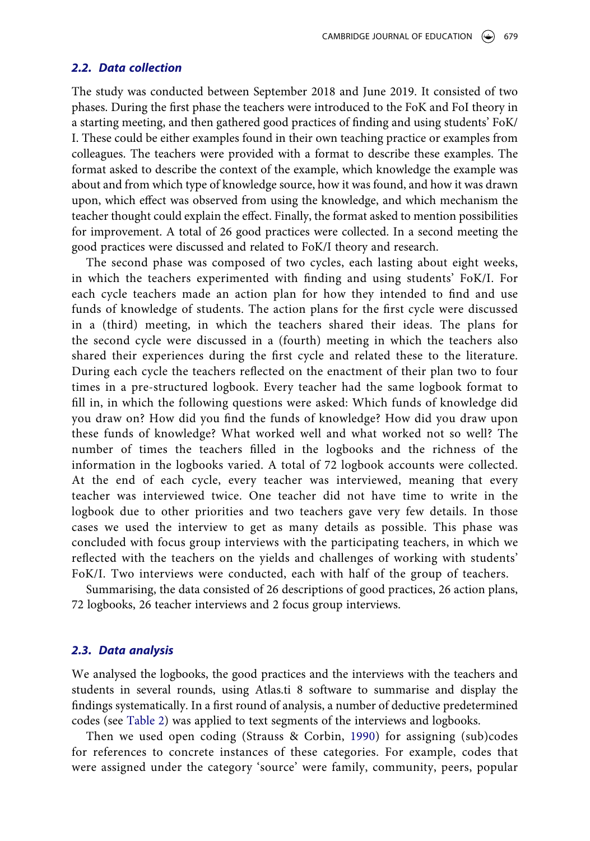#### *2.2. Data collection*

The study was conducted between September 2018 and June 2019. It consisted of two phases. During the first phase the teachers were introduced to the FoK and FoI theory in a starting meeting, and then gathered good practices of finding and using students' FoK/ I. These could be either examples found in their own teaching practice or examples from colleagues. The teachers were provided with a format to describe these examples. The format asked to describe the context of the example, which knowledge the example was about and from which type of knowledge source, how it was found, and how it was drawn upon, which effect was observed from using the knowledge, and which mechanism the teacher thought could explain the effect. Finally, the format asked to mention possibilities for improvement. A total of 26 good practices were collected. In a second meeting the good practices were discussed and related to FoK/I theory and research.

The second phase was composed of two cycles, each lasting about eight weeks, in which the teachers experimented with finding and using students' FoK/I. For each cycle teachers made an action plan for how they intended to find and use funds of knowledge of students. The action plans for the first cycle were discussed in a (third) meeting, in which the teachers shared their ideas. The plans for the second cycle were discussed in a (fourth) meeting in which the teachers also shared their experiences during the first cycle and related these to the literature. During each cycle the teachers reflected on the enactment of their plan two to four times in a pre-structured logbook. Every teacher had the same logbook format to fill in, in which the following questions were asked: Which funds of knowledge did you draw on? How did you find the funds of knowledge? How did you draw upon these funds of knowledge? What worked well and what worked not so well? The number of times the teachers filled in the logbooks and the richness of the information in the logbooks varied. A total of 72 logbook accounts were collected. At the end of each cycle, every teacher was interviewed, meaning that every teacher was interviewed twice. One teacher did not have time to write in the logbook due to other priorities and two teachers gave very few details. In those cases we used the interview to get as many details as possible. This phase was concluded with focus group interviews with the participating teachers, in which we reflected with the teachers on the yields and challenges of working with students' FoK/I. Two interviews were conducted, each with half of the group of teachers.

Summarising, the data consisted of 26 descriptions of good practices, 26 action plans, 72 logbooks, 26 teacher interviews and 2 focus group interviews.

## *2.3. Data analysis*

We analysed the logbooks, the good practices and the interviews with the teachers and students in several rounds, using Atlas.ti 8 software to summarise and display the findings systematically. In a first round of analysis, a number of deductive predetermined codes (see Table 2) was applied to text segments of the interviews and logbooks.

Then we used open coding (Strauss & Corbin, 1990) for assigning (sub)codes for references to concrete instances of these categories. For example, codes that were assigned under the category 'source' were family, community, peers, popular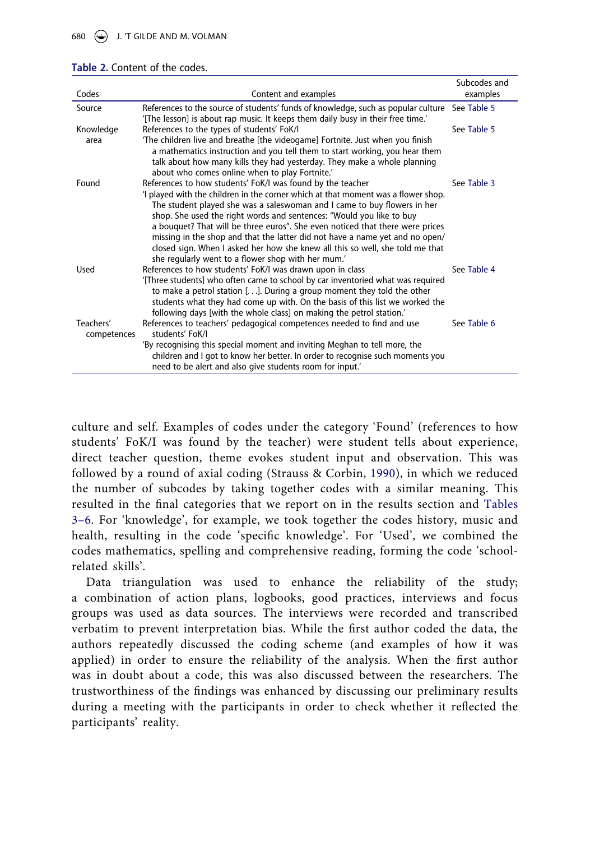#### **Table 2.** Content of the codes.

| Codes                    | Content and examples                                                                                                                                                                                                                                                                                                                                                                                                                                                                                                                                                                                       | Subcodes and<br>examples |
|--------------------------|------------------------------------------------------------------------------------------------------------------------------------------------------------------------------------------------------------------------------------------------------------------------------------------------------------------------------------------------------------------------------------------------------------------------------------------------------------------------------------------------------------------------------------------------------------------------------------------------------------|--------------------------|
| Source                   | References to the source of students' funds of knowledge, such as popular culture See Table 5<br>'[The lesson] is about rap music. It keeps them daily busy in their free time.'                                                                                                                                                                                                                                                                                                                                                                                                                           |                          |
| Knowledge                | References to the types of students' FoK/I                                                                                                                                                                                                                                                                                                                                                                                                                                                                                                                                                                 | See Table 5              |
| area                     | 'The children live and breathe [the videogame] Fortnite. Just when you finish<br>a mathematics instruction and you tell them to start working, you hear them<br>talk about how many kills they had yesterday. They make a whole planning<br>about who comes online when to play Fortnite.'                                                                                                                                                                                                                                                                                                                 |                          |
| Found                    | References to how students' FoK/I was found by the teacher<br>I played with the children in the corner which at that moment was a flower shop.<br>The student played she was a saleswoman and I came to buy flowers in her<br>shop. She used the right words and sentences: "Would you like to buy<br>a bouquet? That will be three euros". She even noticed that there were prices<br>missing in the shop and that the latter did not have a name yet and no open/<br>closed sign. When I asked her how she knew all this so well, she told me that<br>she regularly went to a flower shop with her mum.' | See Table 3              |
| Used                     | References to how students' FoK/I was drawn upon in class<br>[Three students] who often came to school by car inventoried what was required<br>to make a petrol station $[]$ . During a group moment they told the other<br>students what they had come up with. On the basis of this list we worked the<br>following days [with the whole class] on making the petrol station.                                                                                                                                                                                                                            | See Table 4              |
| Teachers'<br>competences | References to teachers' pedagogical competences needed to find and use<br>students' FoK/L                                                                                                                                                                                                                                                                                                                                                                                                                                                                                                                  | See Table 6              |
|                          | 'By recognising this special moment and inviting Meghan to tell more, the<br>children and I got to know her better. In order to recognise such moments you<br>need to be alert and also give students room for input.                                                                                                                                                                                                                                                                                                                                                                                      |                          |

culture and self. Examples of codes under the category 'Found' (references to how students' FoK/I was found by the teacher) were student tells about experience, direct teacher question, theme evokes student input and observation. This was followed by a round of axial coding (Strauss & Corbin, 1990), in which we reduced the number of subcodes by taking together codes with a similar meaning. This resulted in the final categories that we report on in the results section and Tables 3–6. For 'knowledge', for example, we took together the codes history, music and health, resulting in the code 'specific knowledge'. For 'Used', we combined the codes mathematics, spelling and comprehensive reading, forming the code 'schoolrelated skills'.

Data triangulation was used to enhance the reliability of the study; a combination of action plans, logbooks, good practices, interviews and focus groups was used as data sources. The interviews were recorded and transcribed verbatim to prevent interpretation bias. While the first author coded the data, the authors repeatedly discussed the coding scheme (and examples of how it was applied) in order to ensure the reliability of the analysis. When the first author was in doubt about a code, this was also discussed between the researchers. The trustworthiness of the findings was enhanced by discussing our preliminary results during a meeting with the participants in order to check whether it reflected the participants' reality.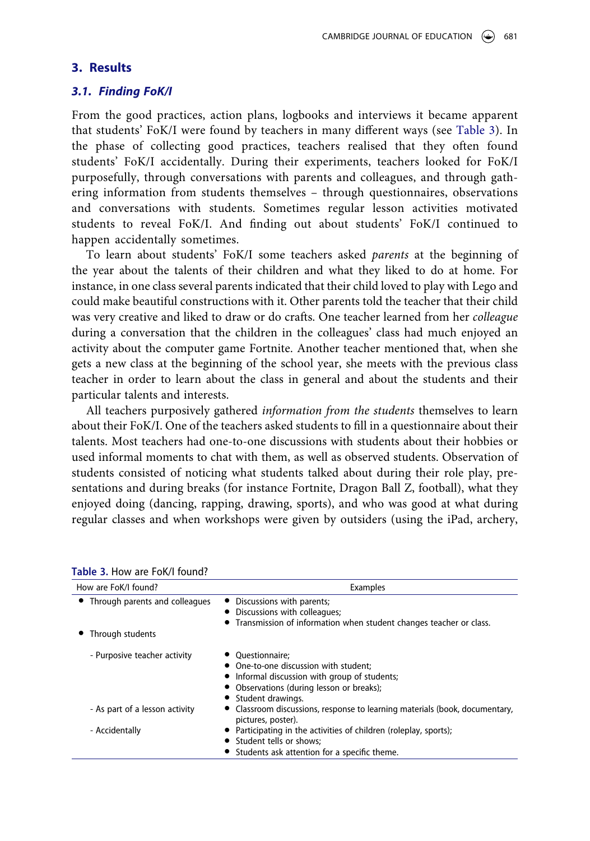#### **3. Results**

#### *3.1. Finding FoK/I*

From the good practices, action plans, logbooks and interviews it became apparent that students' FoK/I were found by teachers in many different ways (see Table 3). In the phase of collecting good practices, teachers realised that they often found students' FoK/I accidentally. During their experiments, teachers looked for FoK/I purposefully, through conversations with parents and colleagues, and through gathering information from students themselves – through questionnaires, observations and conversations with students. Sometimes regular lesson activities motivated students to reveal FoK/I. And finding out about students' FoK/I continued to happen accidentally sometimes.

To learn about students' FoK/I some teachers asked *parents* at the beginning of the year about the talents of their children and what they liked to do at home. For instance, in one class several parents indicated that their child loved to play with Lego and could make beautiful constructions with it. Other parents told the teacher that their child was very creative and liked to draw or do crafts. One teacher learned from her *colleague*  during a conversation that the children in the colleagues' class had much enjoyed an activity about the computer game Fortnite. Another teacher mentioned that, when she gets a new class at the beginning of the school year, she meets with the previous class teacher in order to learn about the class in general and about the students and their particular talents and interests.

All teachers purposively gathered *information from the students* themselves to learn about their FoK/I. One of the teachers asked students to fill in a questionnaire about their talents. Most teachers had one-to-one discussions with students about their hobbies or used informal moments to chat with them, as well as observed students. Observation of students consisted of noticing what students talked about during their role play, presentations and during breaks (for instance Fortnite, Dragon Ball Z, football), what they enjoyed doing (dancing, rapping, drawing, sports), and who was good at what during regular classes and when workshops were given by outsiders (using the iPad, archery,

| How are FoK/I found?             | Examples                                                                                        |
|----------------------------------|-------------------------------------------------------------------------------------------------|
| • Through parents and colleagues | • Discussions with parents;                                                                     |
|                                  | • Discussions with colleagues;                                                                  |
|                                  | Transmission of information when student changes teacher or class.                              |
| Through students                 |                                                                                                 |
| - Purposive teacher activity     | Ouestionnaire:                                                                                  |
|                                  | • One-to-one discussion with student:                                                           |
|                                  | • Informal discussion with group of students;                                                   |
|                                  | • Observations (during lesson or breaks);                                                       |
|                                  | • Student drawings.                                                                             |
| - As part of a lesson activity   | Classroom discussions, response to learning materials (book, documentary,<br>pictures, poster). |
| - Accidentally                   | • Participating in the activities of children (roleplay, sports);                               |
|                                  | • Student tells or shows:                                                                       |
|                                  | • Students ask attention for a specific theme.                                                  |

**Table 3.** How are FoK/I found?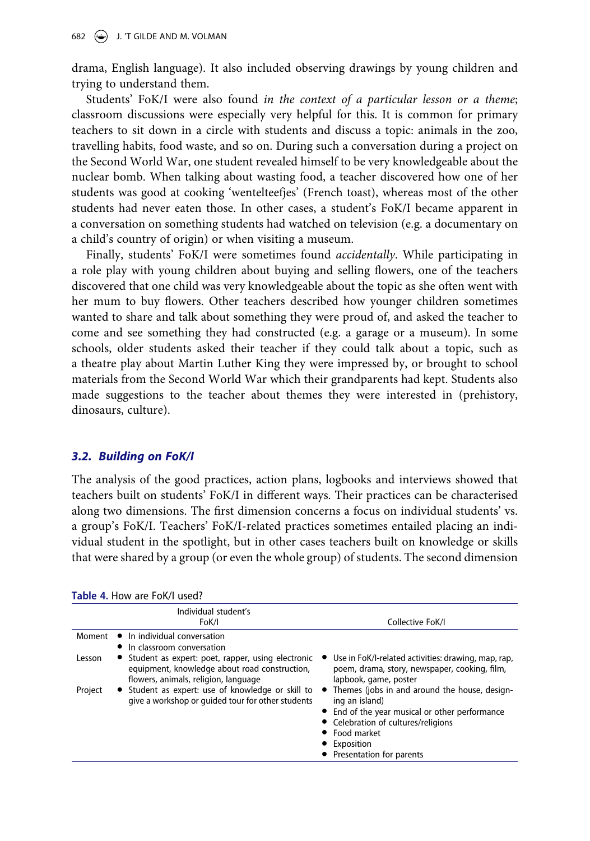drama, English language). It also included observing drawings by young children and trying to understand them.

Students' FoK/I were also found *in the context of a particular lesson or a theme*; classroom discussions were especially very helpful for this. It is common for primary teachers to sit down in a circle with students and discuss a topic: animals in the zoo, travelling habits, food waste, and so on. During such a conversation during a project on the Second World War, one student revealed himself to be very knowledgeable about the nuclear bomb. When talking about wasting food, a teacher discovered how one of her students was good at cooking 'wentelteefjes' (French toast), whereas most of the other students had never eaten those. In other cases, a student's FoK/I became apparent in a conversation on something students had watched on television (e.g. a documentary on a child's country of origin) or when visiting a museum.

Finally, students' FoK/I were sometimes found *accidentally*. While participating in a role play with young children about buying and selling flowers, one of the teachers discovered that one child was very knowledgeable about the topic as she often went with her mum to buy flowers. Other teachers described how younger children sometimes wanted to share and talk about something they were proud of, and asked the teacher to come and see something they had constructed (e.g. a garage or a museum). In some schools, older students asked their teacher if they could talk about a topic, such as a theatre play about Martin Luther King they were impressed by, or brought to school materials from the Second World War which their grandparents had kept. Students also made suggestions to the teacher about themes they were interested in (prehistory, dinosaurs, culture).

## *3.2. Building on FoK/I*

The analysis of the good practices, action plans, logbooks and interviews showed that teachers built on students' FoK/I in different ways. Their practices can be characterised along two dimensions. The first dimension concerns a focus on individual students' vs. a group's FoK/I. Teachers' FoK/I-related practices sometimes entailed placing an individual student in the spotlight, but in other cases teachers built on knowledge or skills that were shared by a group (or even the whole group) of students. The second dimension

|         | Table 4. How are foll used:                                                                                                                  |                                                                                                                                                                                                                         |
|---------|----------------------------------------------------------------------------------------------------------------------------------------------|-------------------------------------------------------------------------------------------------------------------------------------------------------------------------------------------------------------------------|
|         | Individual student's<br>FoK/I                                                                                                                | Collective FoK/I                                                                                                                                                                                                        |
| Moment  | • In individual conversation<br>• In classroom conversation                                                                                  |                                                                                                                                                                                                                         |
| Lesson  | • Student as expert: poet, rapper, using electronic<br>equipment, knowledge about road construction,<br>flowers, animals, religion, language | Use in FoK/I-related activities: drawing, map, rap,<br>$\bullet$<br>poem, drama, story, newspaper, cooking, film,<br>lapbook, game, poster                                                                              |
| Project | Student as expert: use of knowledge or skill to<br>give a workshop or guided tour for other students                                         | Themes (jobs in and around the house, design-<br>ing an island)<br>• End of the year musical or other performance<br>• Celebration of cultures/religions<br>• Food market<br>• Exposition<br>• Presentation for parents |

| Table 4. How are FoK/I used? |
|------------------------------|
|------------------------------|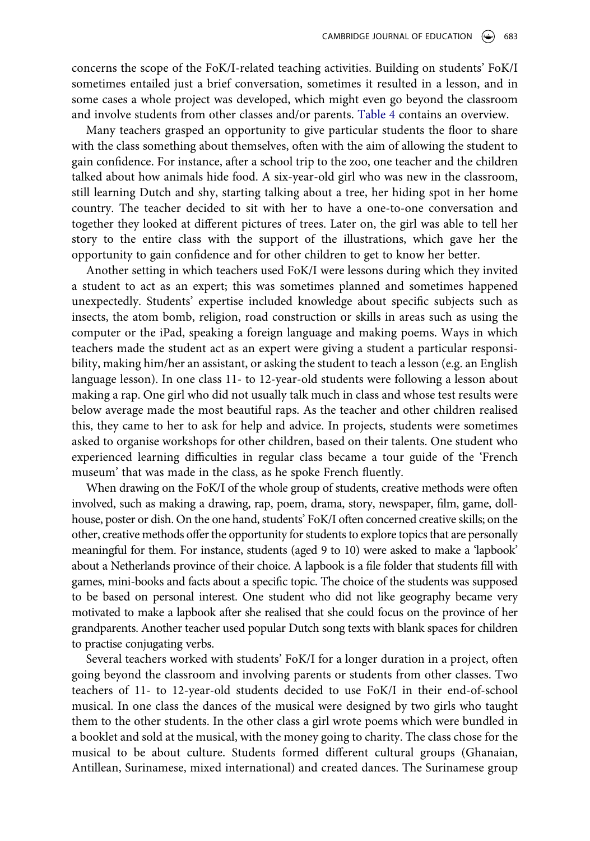concerns the scope of the FoK/I-related teaching activities. Building on students' FoK/I sometimes entailed just a brief conversation, sometimes it resulted in a lesson, and in some cases a whole project was developed, which might even go beyond the classroom and involve students from other classes and/or parents. Table 4 contains an overview.

Many teachers grasped an opportunity to give particular students the floor to share with the class something about themselves, often with the aim of allowing the student to gain confidence. For instance, after a school trip to the zoo, one teacher and the children talked about how animals hide food. A six-year-old girl who was new in the classroom, still learning Dutch and shy, starting talking about a tree, her hiding spot in her home country. The teacher decided to sit with her to have a one-to-one conversation and together they looked at different pictures of trees. Later on, the girl was able to tell her story to the entire class with the support of the illustrations, which gave her the opportunity to gain confidence and for other children to get to know her better.

Another setting in which teachers used FoK/I were lessons during which they invited a student to act as an expert; this was sometimes planned and sometimes happened unexpectedly. Students' expertise included knowledge about specific subjects such as insects, the atom bomb, religion, road construction or skills in areas such as using the computer or the iPad, speaking a foreign language and making poems. Ways in which teachers made the student act as an expert were giving a student a particular responsibility, making him/her an assistant, or asking the student to teach a lesson (e.g. an English language lesson). In one class 11- to 12-year-old students were following a lesson about making a rap. One girl who did not usually talk much in class and whose test results were below average made the most beautiful raps. As the teacher and other children realised this, they came to her to ask for help and advice. In projects, students were sometimes asked to organise workshops for other children, based on their talents. One student who experienced learning difficulties in regular class became a tour guide of the 'French museum' that was made in the class, as he spoke French fluently.

When drawing on the FoK/I of the whole group of students, creative methods were often involved, such as making a drawing, rap, poem, drama, story, newspaper, film, game, dollhouse, poster or dish. On the one hand, students' FoK/I often concerned creative skills; on the other, creative methods offer the opportunity for students to explore topics that are personally meaningful for them. For instance, students (aged 9 to 10) were asked to make a 'lapbook' about a Netherlands province of their choice. A lapbook is a file folder that students fill with games, mini-books and facts about a specific topic. The choice of the students was supposed to be based on personal interest. One student who did not like geography became very motivated to make a lapbook after she realised that she could focus on the province of her grandparents. Another teacher used popular Dutch song texts with blank spaces for children to practise conjugating verbs.

Several teachers worked with students' FoK/I for a longer duration in a project, often going beyond the classroom and involving parents or students from other classes. Two teachers of 11- to 12-year-old students decided to use FoK/I in their end-of-school musical. In one class the dances of the musical were designed by two girls who taught them to the other students. In the other class a girl wrote poems which were bundled in a booklet and sold at the musical, with the money going to charity. The class chose for the musical to be about culture. Students formed different cultural groups (Ghanaian, Antillean, Surinamese, mixed international) and created dances. The Surinamese group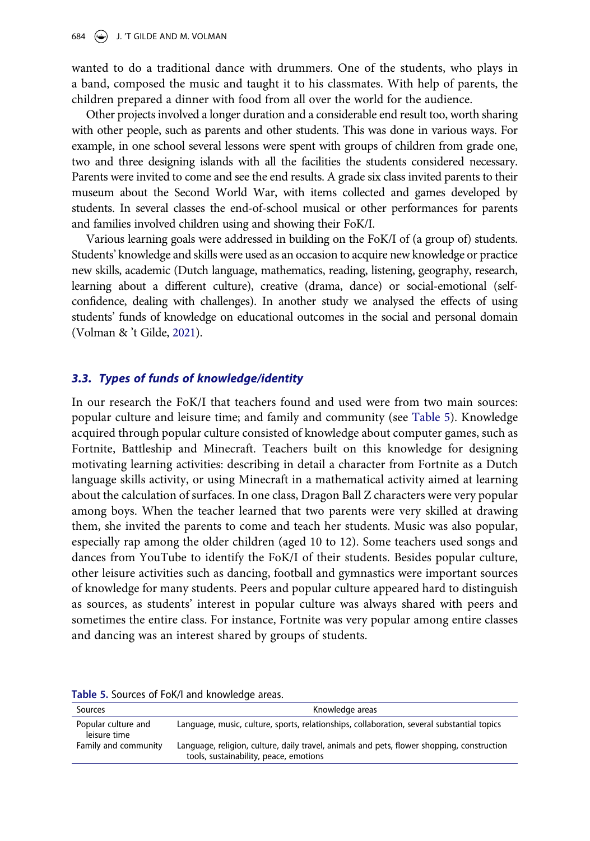wanted to do a traditional dance with drummers. One of the students, who plays in a band, composed the music and taught it to his classmates. With help of parents, the children prepared a dinner with food from all over the world for the audience.

Other projects involved a longer duration and a considerable end result too, worth sharing with other people, such as parents and other students. This was done in various ways. For example, in one school several lessons were spent with groups of children from grade one, two and three designing islands with all the facilities the students considered necessary. Parents were invited to come and see the end results. A grade six class invited parents to their museum about the Second World War, with items collected and games developed by students. In several classes the end-of-school musical or other performances for parents and families involved children using and showing their FoK/I.

Various learning goals were addressed in building on the FoK/I of (a group of) students. Students' knowledge and skills were used as an occasion to acquire new knowledge or practice new skills, academic (Dutch language, mathematics, reading, listening, geography, research, learning about a different culture), creative (drama, dance) or social-emotional (selfconfidence, dealing with challenges). In another study we analysed the effects of using students' funds of knowledge on educational outcomes in the social and personal domain (Volman & 't Gilde, 2021).

## *3.3. Types of funds of knowledge/identity*

In our research the FoK/I that teachers found and used were from two main sources: popular culture and leisure time; and family and community (see Table 5). Knowledge acquired through popular culture consisted of knowledge about computer games, such as Fortnite, Battleship and Minecraft. Teachers built on this knowledge for designing motivating learning activities: describing in detail a character from Fortnite as a Dutch language skills activity, or using Minecraft in a mathematical activity aimed at learning about the calculation of surfaces. In one class, Dragon Ball Z characters were very popular among boys. When the teacher learned that two parents were very skilled at drawing them, she invited the parents to come and teach her students. Music was also popular, especially rap among the older children (aged 10 to 12). Some teachers used songs and dances from YouTube to identify the FoK/I of their students. Besides popular culture, other leisure activities such as dancing, football and gymnastics were important sources of knowledge for many students. Peers and popular culture appeared hard to distinguish as sources, as students' interest in popular culture was always shared with peers and sometimes the entire class. For instance, Fortnite was very popular among entire classes and dancing was an interest shared by groups of students.

|  |  |  |  |  |  | Table 5. Sources of FoK/I and knowledge areas. |  |
|--|--|--|--|--|--|------------------------------------------------|--|
|--|--|--|--|--|--|------------------------------------------------|--|

| Sources                             | Knowledge areas                                                                                                                      |
|-------------------------------------|--------------------------------------------------------------------------------------------------------------------------------------|
| Popular culture and<br>leisure time | Language, music, culture, sports, relationships, collaboration, several substantial topics                                           |
| Family and community                | Language, religion, culture, daily travel, animals and pets, flower shopping, construction<br>tools, sustainability, peace, emotions |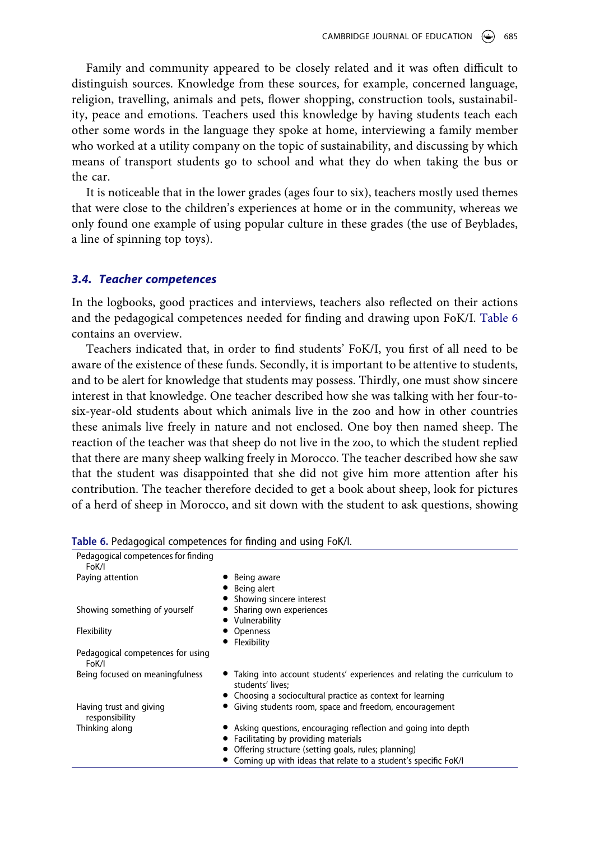Family and community appeared to be closely related and it was often difficult to distinguish sources. Knowledge from these sources, for example, concerned language, religion, travelling, animals and pets, flower shopping, construction tools, sustainability, peace and emotions. Teachers used this knowledge by having students teach each other some words in the language they spoke at home, interviewing a family member who worked at a utility company on the topic of sustainability, and discussing by which means of transport students go to school and what they do when taking the bus or the car.

It is noticeable that in the lower grades (ages four to six), teachers mostly used themes that were close to the children's experiences at home or in the community, whereas we only found one example of using popular culture in these grades (the use of Beyblades, a line of spinning top toys).

#### *3.4. Teacher competences*

In the logbooks, good practices and interviews, teachers also reflected on their actions and the pedagogical competences needed for finding and drawing upon FoK/I. Table 6 contains an overview.

Teachers indicated that, in order to find students' FoK/I, you first of all need to be aware of the existence of these funds. Secondly, it is important to be attentive to students, and to be alert for knowledge that students may possess. Thirdly, one must show sincere interest in that knowledge. One teacher described how she was talking with her four-tosix-year-old students about which animals live in the zoo and how in other countries these animals live freely in nature and not enclosed. One boy then named sheep. The reaction of the teacher was that sheep do not live in the zoo, to which the student replied that there are many sheep walking freely in Morocco. The teacher described how she saw that the student was disappointed that she did not give him more attention after his contribution. The teacher therefore decided to get a book about sheep, look for pictures of a herd of sheep in Morocco, and sit down with the student to ask questions, showing

| Pedagogical competences for finding<br>FoK/I |                                                                                                |
|----------------------------------------------|------------------------------------------------------------------------------------------------|
| Paying attention                             | Being aware                                                                                    |
|                                              | Being alert                                                                                    |
|                                              | Showing sincere interest                                                                       |
|                                              |                                                                                                |
| Showing something of yourself                | Sharing own experiences                                                                        |
|                                              | Vulnerability                                                                                  |
| Flexibility                                  | Openness                                                                                       |
|                                              | Flexibility                                                                                    |
| Pedagogical competences for using<br>FoK/I   |                                                                                                |
| Being focused on meaningfulness              | • Taking into account students' experiences and relating the curriculum to<br>students' lives: |
|                                              | • Choosing a sociocultural practice as context for learning                                    |
| Having trust and giving<br>responsibility    | Giving students room, space and freedom, encouragement                                         |
| Thinking along                               | • Asking questions, encouraging reflection and going into depth                                |
|                                              | • Facilitating by providing materials                                                          |
|                                              | • Offering structure (setting goals, rules; planning)                                          |
|                                              |                                                                                                |
|                                              | Coming up with ideas that relate to a student's specific FoK/I                                 |
|                                              |                                                                                                |

| Table 6. Pedagogical competences for finding and using FoK/I. |  |  |  |  |
|---------------------------------------------------------------|--|--|--|--|
|---------------------------------------------------------------|--|--|--|--|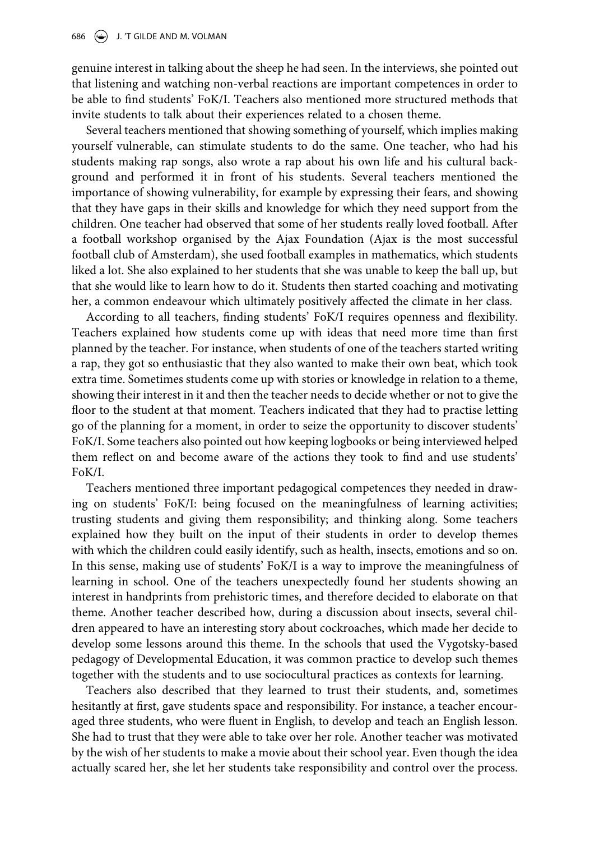genuine interest in talking about the sheep he had seen. In the interviews, she pointed out that listening and watching non-verbal reactions are important competences in order to be able to find students' FoK/I. Teachers also mentioned more structured methods that invite students to talk about their experiences related to a chosen theme.

Several teachers mentioned that showing something of yourself, which implies making yourself vulnerable, can stimulate students to do the same. One teacher, who had his students making rap songs, also wrote a rap about his own life and his cultural background and performed it in front of his students. Several teachers mentioned the importance of showing vulnerability, for example by expressing their fears, and showing that they have gaps in their skills and knowledge for which they need support from the children. One teacher had observed that some of her students really loved football. After a football workshop organised by the Ajax Foundation (Ajax is the most successful football club of Amsterdam), she used football examples in mathematics, which students liked a lot. She also explained to her students that she was unable to keep the ball up, but that she would like to learn how to do it. Students then started coaching and motivating her, a common endeavour which ultimately positively affected the climate in her class.

According to all teachers, finding students' FoK/I requires openness and flexibility. Teachers explained how students come up with ideas that need more time than first planned by the teacher. For instance, when students of one of the teachers started writing a rap, they got so enthusiastic that they also wanted to make their own beat, which took extra time. Sometimes students come up with stories or knowledge in relation to a theme, showing their interest in it and then the teacher needs to decide whether or not to give the floor to the student at that moment. Teachers indicated that they had to practise letting go of the planning for a moment, in order to seize the opportunity to discover students' FoK/I. Some teachers also pointed out how keeping logbooks or being interviewed helped them reflect on and become aware of the actions they took to find and use students' FoK/I.

Teachers mentioned three important pedagogical competences they needed in drawing on students' FoK/I: being focused on the meaningfulness of learning activities; trusting students and giving them responsibility; and thinking along. Some teachers explained how they built on the input of their students in order to develop themes with which the children could easily identify, such as health, insects, emotions and so on. In this sense, making use of students' FoK/I is a way to improve the meaningfulness of learning in school. One of the teachers unexpectedly found her students showing an interest in handprints from prehistoric times, and therefore decided to elaborate on that theme. Another teacher described how, during a discussion about insects, several children appeared to have an interesting story about cockroaches, which made her decide to develop some lessons around this theme. In the schools that used the Vygotsky-based pedagogy of Developmental Education, it was common practice to develop such themes together with the students and to use sociocultural practices as contexts for learning.

Teachers also described that they learned to trust their students, and, sometimes hesitantly at first, gave students space and responsibility. For instance, a teacher encouraged three students, who were fluent in English, to develop and teach an English lesson. She had to trust that they were able to take over her role. Another teacher was motivated by the wish of her students to make a movie about their school year. Even though the idea actually scared her, she let her students take responsibility and control over the process.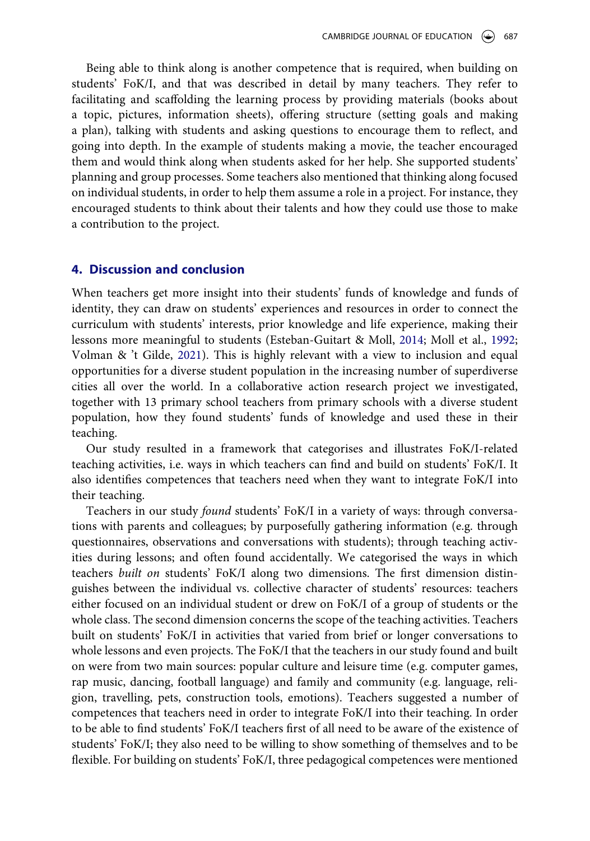Being able to think along is another competence that is required, when building on students' FoK/I, and that was described in detail by many teachers. They refer to facilitating and scaffolding the learning process by providing materials (books about a topic, pictures, information sheets), offering structure (setting goals and making a plan), talking with students and asking questions to encourage them to reflect, and going into depth. In the example of students making a movie, the teacher encouraged them and would think along when students asked for her help. She supported students' planning and group processes. Some teachers also mentioned that thinking along focused on individual students, in order to help them assume a role in a project. For instance, they encouraged students to think about their talents and how they could use those to make a contribution to the project.

## **4. Discussion and conclusion**

When teachers get more insight into their students' funds of knowledge and funds of identity, they can draw on students' experiences and resources in order to connect the curriculum with students' interests, prior knowledge and life experience, making their lessons more meaningful to students (Esteban-Guitart & Moll, 2014; Moll et al., 1992; Volman & 't Gilde, 2021). This is highly relevant with a view to inclusion and equal opportunities for a diverse student population in the increasing number of superdiverse cities all over the world. In a collaborative action research project we investigated, together with 13 primary school teachers from primary schools with a diverse student population, how they found students' funds of knowledge and used these in their teaching.

Our study resulted in a framework that categorises and illustrates FoK/I-related teaching activities, i.e. ways in which teachers can find and build on students' FoK/I. It also identifies competences that teachers need when they want to integrate FoK/I into their teaching.

Teachers in our study *found* students' FoK/I in a variety of ways: through conversations with parents and colleagues; by purposefully gathering information (e.g. through questionnaires, observations and conversations with students); through teaching activities during lessons; and often found accidentally. We categorised the ways in which teachers *built on* students' FoK/I along two dimensions. The first dimension distinguishes between the individual vs. collective character of students' resources: teachers either focused on an individual student or drew on FoK/I of a group of students or the whole class. The second dimension concerns the scope of the teaching activities. Teachers built on students' FoK/I in activities that varied from brief or longer conversations to whole lessons and even projects. The FoK/I that the teachers in our study found and built on were from two main sources: popular culture and leisure time (e.g. computer games, rap music, dancing, football language) and family and community (e.g. language, religion, travelling, pets, construction tools, emotions). Teachers suggested a number of competences that teachers need in order to integrate FoK/I into their teaching. In order to be able to find students' FoK/I teachers first of all need to be aware of the existence of students' FoK/I; they also need to be willing to show something of themselves and to be flexible. For building on students' FoK/I, three pedagogical competences were mentioned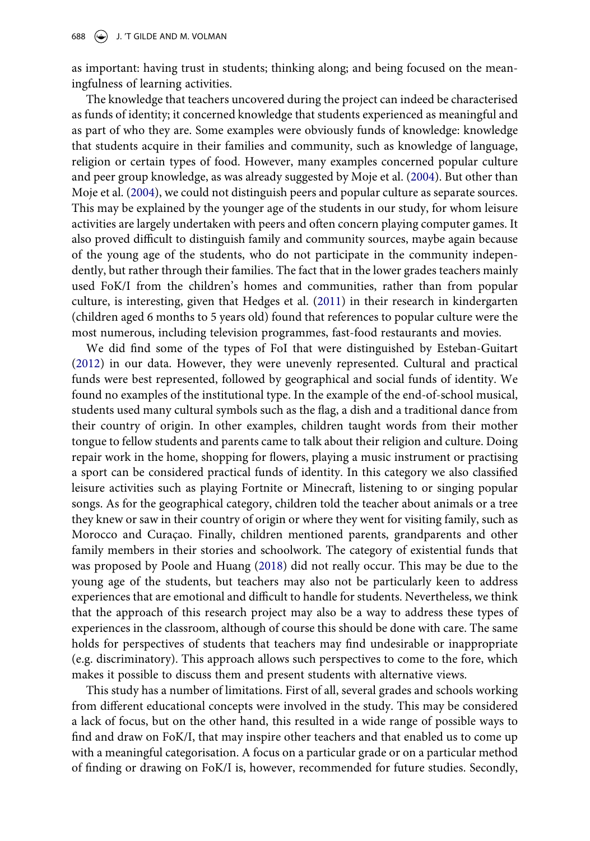as important: having trust in students; thinking along; and being focused on the meaningfulness of learning activities.

The knowledge that teachers uncovered during the project can indeed be characterised as funds of identity; it concerned knowledge that students experienced as meaningful and as part of who they are. Some examples were obviously funds of knowledge: knowledge that students acquire in their families and community, such as knowledge of language, religion or certain types of food. However, many examples concerned popular culture and peer group knowledge, as was already suggested by Moje et al. (2004). But other than Moje et al. (2004), we could not distinguish peers and popular culture as separate sources. This may be explained by the younger age of the students in our study, for whom leisure activities are largely undertaken with peers and often concern playing computer games. It also proved difficult to distinguish family and community sources, maybe again because of the young age of the students, who do not participate in the community independently, but rather through their families. The fact that in the lower grades teachers mainly used FoK/I from the children's homes and communities, rather than from popular culture, is interesting, given that Hedges et al. (2011) in their research in kindergarten (children aged 6 months to 5 years old) found that references to popular culture were the most numerous, including television programmes, fast-food restaurants and movies.

We did find some of the types of FoI that were distinguished by Esteban-Guitart (2012) in our data. However, they were unevenly represented. Cultural and practical funds were best represented, followed by geographical and social funds of identity. We found no examples of the institutional type. In the example of the end-of-school musical, students used many cultural symbols such as the flag, a dish and a traditional dance from their country of origin. In other examples, children taught words from their mother tongue to fellow students and parents came to talk about their religion and culture. Doing repair work in the home, shopping for flowers, playing a music instrument or practising a sport can be considered practical funds of identity. In this category we also classified leisure activities such as playing Fortnite or Minecraft, listening to or singing popular songs. As for the geographical category, children told the teacher about animals or a tree they knew or saw in their country of origin or where they went for visiting family, such as Morocco and Curaçao. Finally, children mentioned parents, grandparents and other family members in their stories and schoolwork. The category of existential funds that was proposed by Poole and Huang (2018) did not really occur. This may be due to the young age of the students, but teachers may also not be particularly keen to address experiences that are emotional and difficult to handle for students. Nevertheless, we think that the approach of this research project may also be a way to address these types of experiences in the classroom, although of course this should be done with care. The same holds for perspectives of students that teachers may find undesirable or inappropriate (e.g. discriminatory). This approach allows such perspectives to come to the fore, which makes it possible to discuss them and present students with alternative views.

This study has a number of limitations. First of all, several grades and schools working from different educational concepts were involved in the study. This may be considered a lack of focus, but on the other hand, this resulted in a wide range of possible ways to find and draw on FoK/I, that may inspire other teachers and that enabled us to come up with a meaningful categorisation. A focus on a particular grade or on a particular method of finding or drawing on FoK/I is, however, recommended for future studies. Secondly,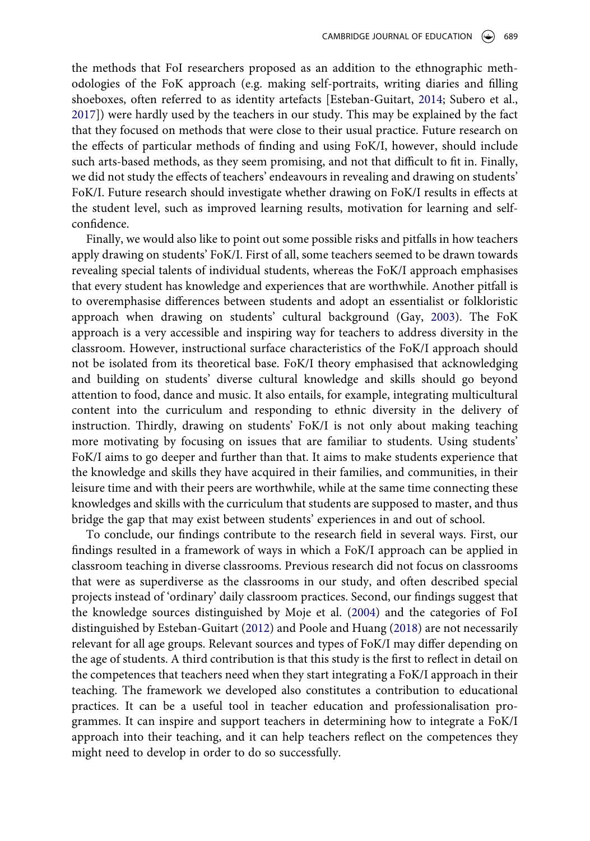the methods that FoI researchers proposed as an addition to the ethnographic methodologies of the FoK approach (e.g. making self-portraits, writing diaries and filling shoeboxes, often referred to as identity artefacts [Esteban-Guitart, 2014; Subero et al., 2017]) were hardly used by the teachers in our study. This may be explained by the fact that they focused on methods that were close to their usual practice. Future research on the effects of particular methods of finding and using FoK/I, however, should include such arts-based methods, as they seem promising, and not that difficult to fit in. Finally, we did not study the effects of teachers' endeavours in revealing and drawing on students' FoK/I. Future research should investigate whether drawing on FoK/I results in effects at the student level, such as improved learning results, motivation for learning and selfconfidence.

Finally, we would also like to point out some possible risks and pitfalls in how teachers apply drawing on students' FoK/I. First of all, some teachers seemed to be drawn towards revealing special talents of individual students, whereas the FoK/I approach emphasises that every student has knowledge and experiences that are worthwhile. Another pitfall is to overemphasise differences between students and adopt an essentialist or folkloristic approach when drawing on students' cultural background (Gay, 2003). The FoK approach is a very accessible and inspiring way for teachers to address diversity in the classroom. However, instructional surface characteristics of the FoK/I approach should not be isolated from its theoretical base. FoK/I theory emphasised that acknowledging and building on students' diverse cultural knowledge and skills should go beyond attention to food, dance and music. It also entails, for example, integrating multicultural content into the curriculum and responding to ethnic diversity in the delivery of instruction. Thirdly, drawing on students' FoK/I is not only about making teaching more motivating by focusing on issues that are familiar to students. Using students' FoK/I aims to go deeper and further than that. It aims to make students experience that the knowledge and skills they have acquired in their families, and communities, in their leisure time and with their peers are worthwhile, while at the same time connecting these knowledges and skills with the curriculum that students are supposed to master, and thus bridge the gap that may exist between students' experiences in and out of school.

To conclude, our findings contribute to the research field in several ways. First, our findings resulted in a framework of ways in which a FoK/I approach can be applied in classroom teaching in diverse classrooms. Previous research did not focus on classrooms that were as superdiverse as the classrooms in our study, and often described special projects instead of 'ordinary' daily classroom practices. Second, our findings suggest that the knowledge sources distinguished by Moje et al. (2004) and the categories of FoI distinguished by Esteban-Guitart (2012) and Poole and Huang (2018) are not necessarily relevant for all age groups. Relevant sources and types of FoK/I may differ depending on the age of students. A third contribution is that this study is the first to reflect in detail on the competences that teachers need when they start integrating a FoK/I approach in their teaching. The framework we developed also constitutes a contribution to educational practices. It can be a useful tool in teacher education and professionalisation programmes. It can inspire and support teachers in determining how to integrate a FoK/I approach into their teaching, and it can help teachers reflect on the competences they might need to develop in order to do so successfully.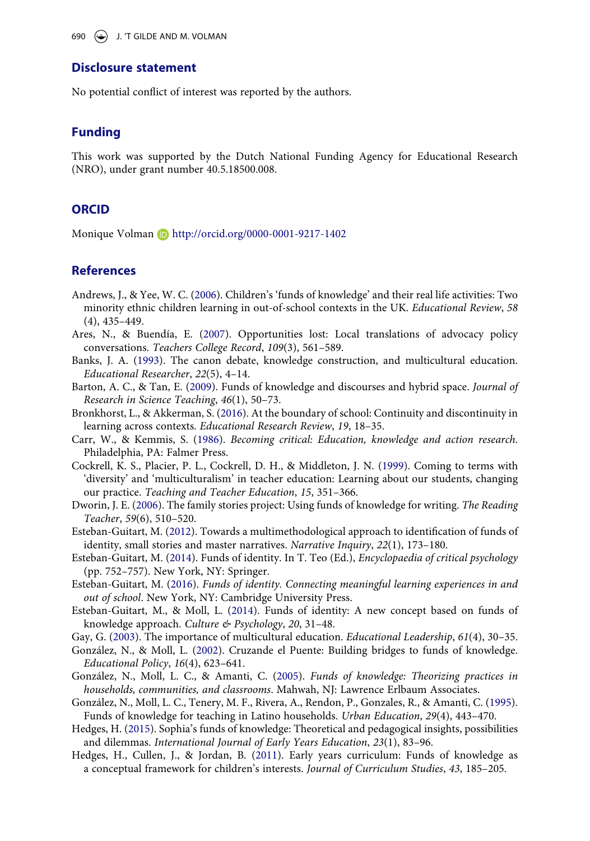## **Disclosure statement**

No potential conflict of interest was reported by the authors.

## **Funding**

This work was supported by the Dutch National Funding Agency for Educational Research (NRO), under grant number 40.5.18500.008.

### **ORCID**

Monique Volman D http://orcid.org/0000-0001-9217-1402

## **References**

- Andrews, J., & Yee, W. C. (2006). Children's 'funds of knowledge' and their real life activities: Two minority ethnic children learning in out-of-school contexts in the UK. *Educational Review*, *58*  (4), 435–449.
- Ares, N., & Buendía, E. (2007). Opportunities lost: Local translations of advocacy policy conversations. *Teachers College Record*, *109*(3), 561–589.
- Banks, J. A. (1993). The canon debate, knowledge construction, and multicultural education. *Educational Researcher*, *22*(5), 4–14.
- Barton, A. C., & Tan, E. (2009). Funds of knowledge and discourses and hybrid space. *Journal of Research in Science Teaching*, *46*(1), 50–73.
- Bronkhorst, L., & Akkerman, S. (2016). At the boundary of school: Continuity and discontinuity in learning across contexts. *Educational Research Review*, *19*, 18–35.
- Carr, W., & Kemmis, S. (1986). *Becoming critical: Education, knowledge and action research*. Philadelphia, PA: Falmer Press.
- Cockrell, K. S., Placier, P. L., Cockrell, D. H., & Middleton, J. N. (1999). Coming to terms with 'diversity' and 'multiculturalism' in teacher education: Learning about our students, changing our practice. *Teaching and Teacher Education*, *15*, 351–366.
- Dworin, J. E. (2006). The family stories project: Using funds of knowledge for writing. *The Reading Teacher*, *59*(6), 510–520.
- Esteban-Guitart, M. (2012). Towards a multimethodological approach to identification of funds of identity, small stories and master narratives. *Narrative Inquiry*, *22*(1), 173–180.
- Esteban-Guitart, M. (2014). Funds of identity. In T. Teo (Ed.), *Encyclopaedia of critical psychology*  (pp. 752–757). New York, NY: Springer.
- Esteban-Guitart, M. (2016). *Funds of identity. Connecting meaningful learning experiences in and out of school*. New York, NY: Cambridge University Press.
- Esteban-Guitart, M., & Moll, L. (2014). Funds of identity: A new concept based on funds of knowledge approach. *Culture & Psychology*, *20*, 31–48.
- Gay, G. (2003). The importance of multicultural education. *Educational Leadership*, *61*(4), 30–35.
- González, N., & Moll, L. (2002). Cruzande el Puente: Building bridges to funds of knowledge. *Educational Policy*, *16*(4), 623–641.
- González, N., Moll, L. C., & Amanti, C. (2005). *Funds of knowledge: Theorizing practices in households, communities, and classrooms*. Mahwah, NJ: Lawrence Erlbaum Associates.
- González, N., Moll, L. C., Tenery, M. F., Rivera, A., Rendon, P., Gonzales, R., & Amanti, C. (1995). Funds of knowledge for teaching in Latino households. *Urban Education*, *29*(4), 443–470.
- Hedges, H. (2015). Sophia's funds of knowledge: Theoretical and pedagogical insights, possibilities and dilemmas. *International Journal of Early Years Education*, *23*(1), 83–96.
- Hedges, H., Cullen, J., & Jordan, B. (2011). Early years curriculum: Funds of knowledge as a conceptual framework for children's interests. *Journal of Curriculum Studies*, *43*, 185–205.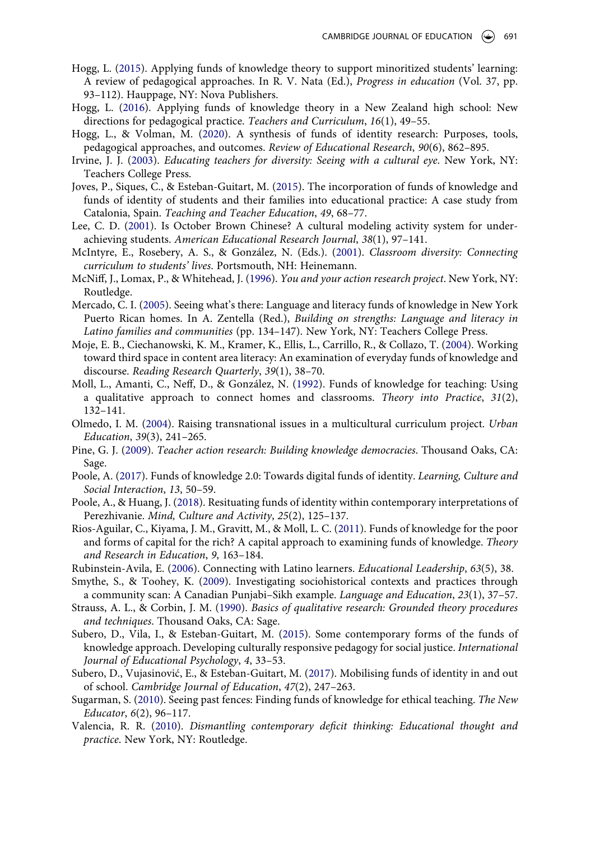- Hogg, L. (2015). Applying funds of knowledge theory to support minoritized students' learning: A review of pedagogical approaches. In R. V. Nata (Ed.), *Progress in education* (Vol. 37, pp. 93–112). Hauppage, NY: Nova Publishers.
- Hogg, L. (2016). Applying funds of knowledge theory in a New Zealand high school: New directions for pedagogical practice. *Teachers and Curriculum*, *16*(1), 49–55.
- Hogg, L., & Volman, M. (2020). A synthesis of funds of identity research: Purposes, tools, pedagogical approaches, and outcomes. *Review of Educational Research*, *90*(6), 862–895.
- Irvine, J. J. (2003). *Educating teachers for diversity: Seeing with a cultural eye*. New York, NY: Teachers College Press.
- Joves, P., Siques, C., & Esteban-Guitart, M. (2015). The incorporation of funds of knowledge and funds of identity of students and their families into educational practice: A case study from Catalonia, Spain. *Teaching and Teacher Education*, *49*, 68–77.
- Lee, C. D. (2001). Is October Brown Chinese? A cultural modeling activity system for underachieving students. *American Educational Research Journal*, *38*(1), 97–141.
- McIntyre, E., Rosebery, A. S., & González, N. (Eds.). (2001). *Classroom diversity: Connecting curriculum to students' lives*. Portsmouth, NH: Heinemann.
- McNiff, J., Lomax, P., & Whitehead, J. (1996). *You and your action research project*. New York, NY: Routledge.
- Mercado, C. I. (2005). Seeing what's there: Language and literacy funds of knowledge in New York Puerto Rican homes. In A. Zentella (Red.), *Building on strengths: Language and literacy in Latino families and communities* (pp. 134–147). New York, NY: Teachers College Press.
- Moje, E. B., Ciechanowski, K. M., Kramer, K., Ellis, L., Carrillo, R., & Collazo, T. (2004). Working toward third space in content area literacy: An examination of everyday funds of knowledge and discourse. *Reading Research Quarterly*, *39*(1), 38–70.
- Moll, L., Amanti, C., Neff, D., & González, N. (1992). Funds of knowledge for teaching: Using a qualitative approach to connect homes and classrooms. *Theory into Practice*, *31*(2), 132–141.
- Olmedo, I. M. (2004). Raising transnational issues in a multicultural curriculum project. *Urban Education*, *39*(3), 241–265.
- Pine, G. J. (2009). *Teacher action research: Building knowledge democracies*. Thousand Oaks, CA: Sage.
- Poole, A. (2017). Funds of knowledge 2.0: Towards digital funds of identity. *Learning, Culture and Social Interaction*, *13*, 50–59.
- Poole, A., & Huang, J. (2018). Resituating funds of identity within contemporary interpretations of Perezhivanie. *Mind, Culture and Activity*, *25*(2), 125–137.
- Rios-Aguilar, C., Kiyama, J. M., Gravitt, M., & Moll, L. C. (2011). Funds of knowledge for the poor and forms of capital for the rich? A capital approach to examining funds of knowledge. *Theory and Research in Education*, *9*, 163–184.
- Rubinstein-Avila, E. (2006). Connecting with Latino learners. *Educational Leadership*, *63*(5), 38.
- Smythe, S., & Toohey, K. (2009). Investigating sociohistorical contexts and practices through a community scan: A Canadian Punjabi–Sikh example. *Language and Education*, *23*(1), 37–57.
- Strauss, A. L., & Corbin, J. M. (1990). *Basics of qualitative research: Grounded theory procedures and techniques*. Thousand Oaks, CA: Sage.
- Subero, D., Vila, I., & Esteban-Guitart, M. (2015). Some contemporary forms of the funds of knowledge approach. Developing culturally responsive pedagogy for social justice. *International Journal of Educational Psychology*, *4*, 33–53.
- Subero, D., Vujasinović, E., & Esteban-Guitart, M. (2017). Mobilising funds of identity in and out of school. *Cambridge Journal of Education*, *47*(2), 247–263.
- Sugarman, S. (2010). Seeing past fences: Finding funds of knowledge for ethical teaching. *The New Educator*, *6*(2), 96–117.
- Valencia, R. R. (2010). *Dismantling contemporary deficit thinking: Educational thought and practice*. New York, NY: Routledge.